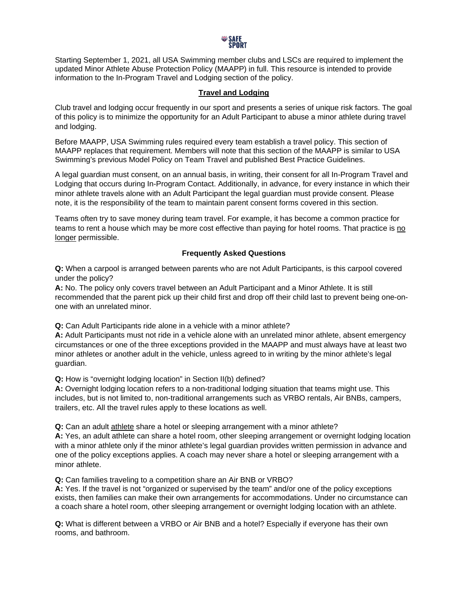

Starting September 1, 2021, all USA Swimming member clubs and LSCs are required to implement the updated Minor Athlete Abuse Protection Policy (MAAPP) in full. This resource is intended to provide information to the In-Program Travel and Lodging section of the policy.

## **Travel and Lodging**

Club travel and lodging occur frequently in our sport and presents a series of unique risk factors. The goal of this policy is to minimize the opportunity for an Adult Participant to abuse a minor athlete during travel and lodging.

Before MAAPP, USA Swimming rules required every team establish a travel policy. This section of MAAPP replaces that requirement. Members will note that this section of the MAAPP is similar to USA Swimming's previous Model Policy on Team Travel and published Best Practice Guidelines.

A legal guardian must consent, on an annual basis, in writing, their consent for all In-Program Travel and Lodging that occurs during In-Program Contact. Additionally, in advance, for every instance in which their minor athlete travels alone with an Adult Participant the legal guardian must provide consent. Please note, it is the responsibility of the team to maintain parent consent forms covered in this section.

Teams often try to save money during team travel. For example, it has become a common practice for teams to rent a house which may be more cost effective than paying for hotel rooms. That practice is no longer permissible.

## **Frequently Asked Questions**

**Q:** When a carpool is arranged between parents who are not Adult Participants, is this carpool covered under the policy?

**A:** No. The policy only covers travel between an Adult Participant and a Minor Athlete. It is still recommended that the parent pick up their child first and drop off their child last to prevent being one-onone with an unrelated minor.

**Q:** Can Adult Participants ride alone in a vehicle with a minor athlete?

**A:** Adult Participants must not ride in a vehicle alone with an unrelated minor athlete, absent emergency circumstances or one of the three exceptions provided in the MAAPP and must always have at least two minor athletes or another adult in the vehicle, unless agreed to in writing by the minor athlete's legal guardian.

**Q:** How is "overnight lodging location" in Section II(b) defined?

**A:** Overnight lodging location refers to a non-traditional lodging situation that teams might use. This includes, but is not limited to, non-traditional arrangements such as VRBO rentals, Air BNBs, campers, trailers, etc. All the travel rules apply to these locations as well.

**Q:** Can an adult athlete share a hotel or sleeping arrangement with a minor athlete?

**A:** Yes, an adult athlete can share a hotel room, other sleeping arrangement or overnight lodging location with a minor athlete only if the minor athlete's legal guardian provides written permission in advance and one of the policy exceptions applies. A coach may never share a hotel or sleeping arrangement with a minor athlete.

**Q:** Can families traveling to a competition share an Air BNB or VRBO?

**A:** Yes. If the travel is not "organized or supervised by the team" and/or one of the policy exceptions exists, then families can make their own arrangements for accommodations. Under no circumstance can a coach share a hotel room, other sleeping arrangement or overnight lodging location with an athlete.

**Q:** What is different between a VRBO or Air BNB and a hotel? Especially if everyone has their own rooms, and bathroom.